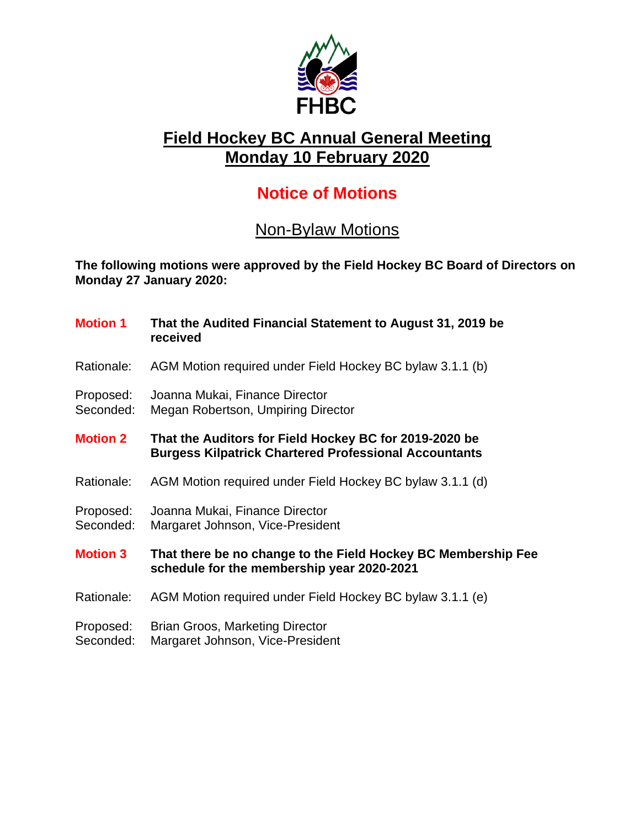

## **Field Hockey BC Annual General Meeting Monday 10 February 2020**

## **Notice of Motions**

## Non-Bylaw Motions

**The following motions were approved by the Field Hockey BC Board of Directors on Monday 27 January 2020:**

| <b>Motion 1</b>        | That the Audited Financial Statement to August 31, 2019 be<br>received                                                 |
|------------------------|------------------------------------------------------------------------------------------------------------------------|
| Rationale:             | AGM Motion required under Field Hockey BC bylaw 3.1.1 (b)                                                              |
| Proposed:<br>Seconded: | Joanna Mukai, Finance Director<br>Megan Robertson, Umpiring Director                                                   |
| <b>Motion 2</b>        | That the Auditors for Field Hockey BC for 2019-2020 be<br><b>Burgess Kilpatrick Chartered Professional Accountants</b> |
| Rationale:             | AGM Motion required under Field Hockey BC bylaw 3.1.1 (d)                                                              |
| Proposed:<br>Seconded: | Joanna Mukai, Finance Director<br>Margaret Johnson, Vice-President                                                     |
| <b>Motion 3</b>        | That there be no change to the Field Hockey BC Membership Fee<br>schedule for the membership year 2020-2021            |
| Rationale:             | AGM Motion required under Field Hockey BC bylaw 3.1.1 (e)                                                              |
| Proposed:<br>Seconded: | Brian Groos, Marketing Director<br>Margaret Johnson, Vice-President                                                    |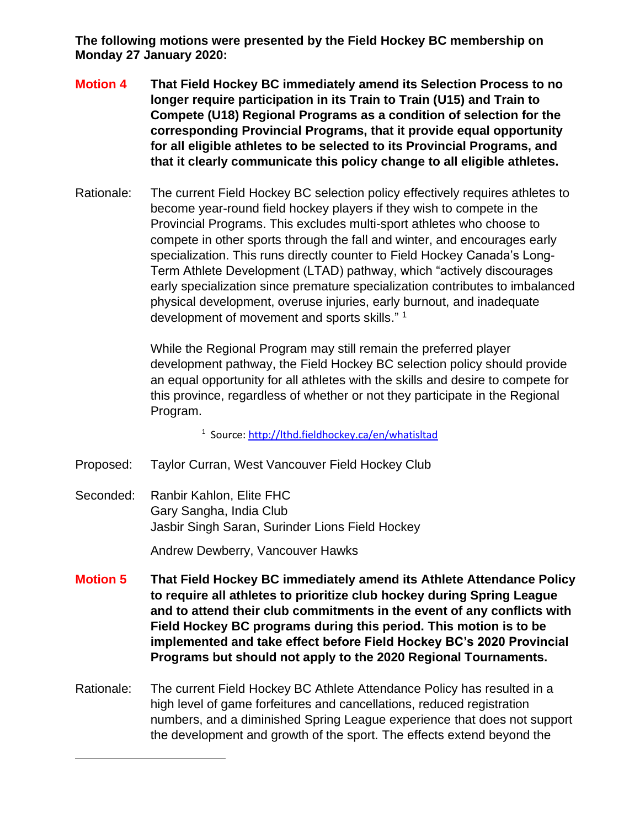**The following motions were presented by the Field Hockey BC membership on Monday 27 January 2020:**

- **Motion 4 That Field Hockey BC immediately amend its Selection Process to no longer require participation in its Train to Train (U15) and Train to Compete (U18) Regional Programs as a condition of selection for the corresponding Provincial Programs, that it provide equal opportunity for all eligible athletes to be selected to its Provincial Programs, and that it clearly communicate this policy change to all eligible athletes.**
- Rationale: The current Field Hockey BC selection policy effectively requires athletes to become year-round field hockey players if they wish to compete in the Provincial Programs. This excludes multi-sport athletes who choose to compete in other sports through the fall and winter, and encourages early specialization. This runs directly counter to Field Hockey Canada's Long-Term Athlete Development (LTAD) pathway, which "actively discourages early specialization since premature specialization contributes to imbalanced physical development, overuse injuries, early burnout, and inadequate development of movement and sports skills." 1

While the Regional Program may still remain the preferred player development pathway, the Field Hockey BC selection policy should provide an equal opportunity for all athletes with the skills and desire to compete for this province, regardless of whether or not they participate in the Regional Program.

<sup>1</sup> Source[: http://lthd.fieldhockey.ca/en/whatisltad](http://lthd.fieldhockey.ca/en/whatisltad)

- Proposed: Taylor Curran, West Vancouver Field Hockey Club
- Seconded: Ranbir Kahlon, Elite FHC Gary Sangha, India Club Jasbir Singh Saran, Surinder Lions Field Hockey

Andrew Dewberry, Vancouver Hawks

- **Motion 5 That Field Hockey BC immediately amend its Athlete Attendance Policy to require all athletes to prioritize club hockey during Spring League and to attend their club commitments in the event of any conflicts with Field Hockey BC programs during this period. This motion is to be implemented and take effect before Field Hockey BC's 2020 Provincial Programs but should not apply to the 2020 Regional Tournaments.**
- Rationale: The current Field Hockey BC Athlete Attendance Policy has resulted in a high level of game forfeitures and cancellations, reduced registration numbers, and a diminished Spring League experience that does not support the development and growth of the sport. The effects extend beyond the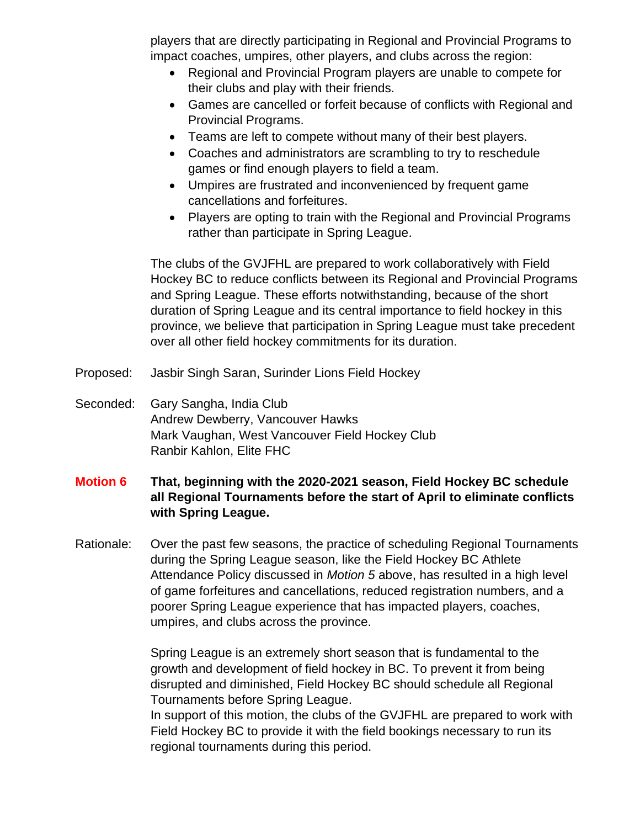players that are directly participating in Regional and Provincial Programs to impact coaches, umpires, other players, and clubs across the region:

- Regional and Provincial Program players are unable to compete for their clubs and play with their friends.
- Games are cancelled or forfeit because of conflicts with Regional and Provincial Programs.
- Teams are left to compete without many of their best players.
- Coaches and administrators are scrambling to try to reschedule games or find enough players to field a team.
- Umpires are frustrated and inconvenienced by frequent game cancellations and forfeitures.
- Players are opting to train with the Regional and Provincial Programs rather than participate in Spring League.

The clubs of the GVJFHL are prepared to work collaboratively with Field Hockey BC to reduce conflicts between its Regional and Provincial Programs and Spring League. These efforts notwithstanding, because of the short duration of Spring League and its central importance to field hockey in this province, we believe that participation in Spring League must take precedent over all other field hockey commitments for its duration.

- Proposed: Jasbir Singh Saran, Surinder Lions Field Hockey
- Seconded: Gary Sangha, India Club Andrew Dewberry, Vancouver Hawks Mark Vaughan, West Vancouver Field Hockey Club Ranbir Kahlon, Elite FHC

## **Motion 6 That, beginning with the 2020-2021 season, Field Hockey BC schedule all Regional Tournaments before the start of April to eliminate conflicts with Spring League.**

Rationale: Over the past few seasons, the practice of scheduling Regional Tournaments during the Spring League season, like the Field Hockey BC Athlete Attendance Policy discussed in *Motion 5* above, has resulted in a high level of game forfeitures and cancellations, reduced registration numbers, and a poorer Spring League experience that has impacted players, coaches, umpires, and clubs across the province.

> Spring League is an extremely short season that is fundamental to the growth and development of field hockey in BC. To prevent it from being disrupted and diminished, Field Hockey BC should schedule all Regional Tournaments before Spring League.

In support of this motion, the clubs of the GVJFHL are prepared to work with Field Hockey BC to provide it with the field bookings necessary to run its regional tournaments during this period.